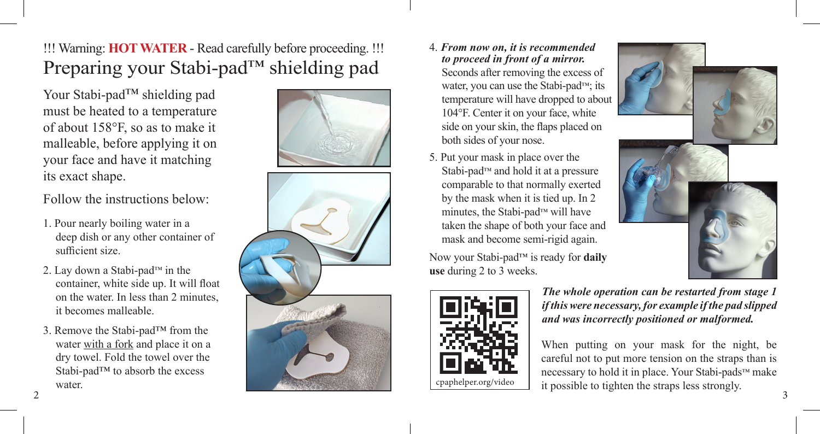!!! Warning: **HOT WATER** - Read carefully before proceeding. !!! Preparing your Stabi-pad™ shielding pad

Your Stabi-pad™ shielding pad must be heated to a temperature of about 158°F, so as to make it malleable, before applying it on your face and have it matching its exact shape.

Follow the instructions below:

- 1. Pour nearly boiling water in a deep dish or any other container of sufficient size.
- 2. Lay down a Stabi-pad™ in the container, white side up. It will float on the water. In less than 2 minutes, it becomes malleable.
- 3. Remove the Stabi-pad™ from the water with a fork and place it on a dry towel. Fold the towel over the Stabi-pad™ to absorb the excess water.





### 4. *From now on, it is recommended to proceed in front of a mirror.*

- Seconds after removing the excess of water, you can use the Stabi-pad™; its temperature will have dropped to about 104°F. Center it on your face, white side on your skin, the flaps placed on both sides of your nose.
- 5. Put your mask in place over the Stabi-pad™ and hold it at a pressure comparable to that normally exerted by the mask when it is tied up. In 2 minutes, the Stabi-pad™ will have taken the shape of both your face and mask and become semi-rigid again.

Now your Stabi-pad™ is ready for **daily use** during 2 to 3 weeks.



*The whole operation can be restarted from stage 1 if this were necessary, for example if the pad slipped and was incorrectly positioned or malformed.*

2 and  $\overline{3}$  3 When putting on your mask for the night, be careful not to put more tension on the straps than is necessary to hold it in place. Your Stabi-pads™ make it possible to tighten the straps less strongly.